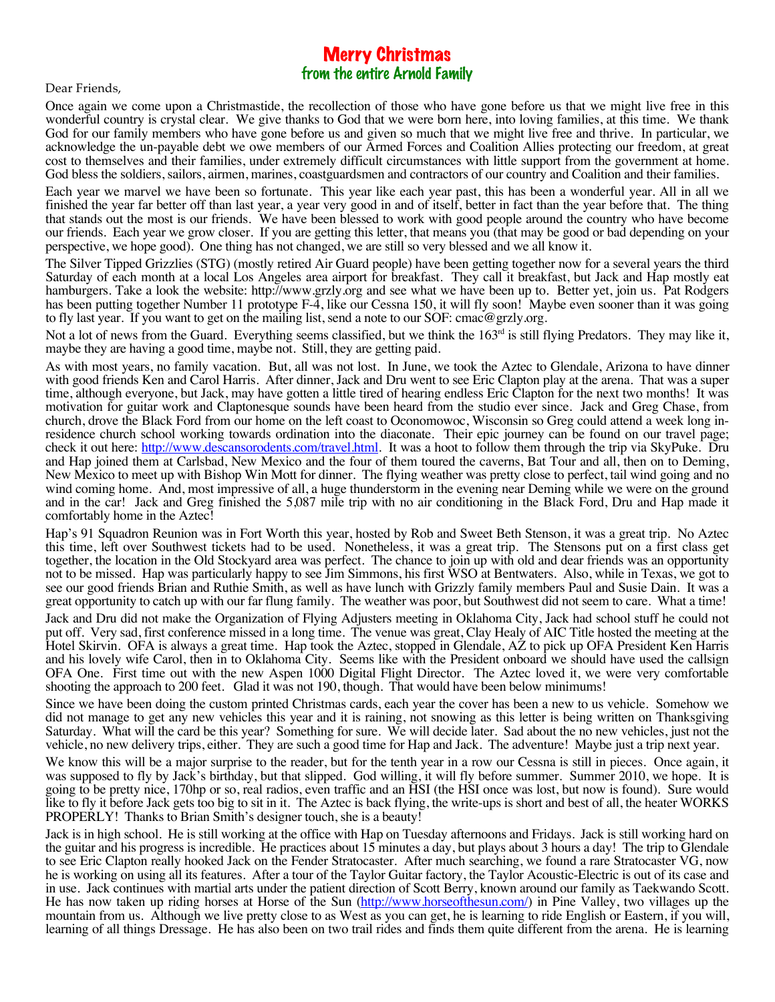## Merry Christmas from the entire Arnold Family

## Dear Friends,

Once again we come upon a Christmastide, the recollection of those who have gone before us that we might live free in this wonderful country is crystal clear. We give thanks to God that we were born here, into loving families, at this time. We thank God for our family members who have gone before us and given so much that we might live free and thrive. In particular, we acknowledge the un-payable debt we owe members of our Armed Forces and Coalition Allies protecting our freedom, at great cost to themselves and their families, under extremely difficult circumstances with little support from the government at home. God bless the soldiers, sailors, airmen, marines, coastguardsmen and contractors of our country and Coalition and their families.

Each year we marvel we have been so fortunate. This year like each year past, this has been a wonderful year. All in all we finished the year far better off than last year, a year very good in and of itself, better in fact than the year before that. The thing that stands out the most is our friends. We have been blessed to work with good people around the country who have become our friends. Each year we grow closer. If you are getting this letter, that means you (that may be good or bad depending on your perspective, we hope good). One thing has not changed, we are still so very blessed and we all know it.

The Silver Tipped Grizzlies (STG) (mostly retired Air Guard people) have been getting together now for a several years the third Saturday of each month at a local Los Angeles area airport for breakfast. They call it breakfast, but Jack and Hap mostly eat hamburgers. Take a look the website: http://www.grzly.org and see what we have been up to. Better yet, join us. Pat Rodgers has been putting together Number 11 prototype F-4, like our Cessna 150, it will fly soon! Maybe even sooner than it was going to fly last year. If you want to get on the mailing list, send a note to our SOF: cmac@grzly.org.

Not a lot of news from the Guard. Everything seems classified, but we think the  $163<sup>rd</sup>$  is still flying Predators. They may like it, maybe they are having a good time, maybe not. Still, they are getting paid.

As with most years, no family vacation. But, all was not lost. In June, we took the Aztec to Glendale, Arizona to have dinner with good friends Ken and Carol Harris. After dinner, Jack and Dru went to see Eric Clapton play at the arena. That was a super time, although everyone, but Jack, may have gotten a little tired of hearing endless Eric Clapton for the next two months! It was motivation for guitar work and Claptonesque sounds have been heard from the studio ever since. Jack and Greg Chase, from church, drove the Black Ford from our home on the left coast to Oconomowoc, Wisconsin so Greg could attend a week long inresidence church school working towards ordination into the diaconate. Their epic journey can be found on our travel page; check it out here: http://www.descansorodents.com/travel.html. It was a hoot to follow them through the trip via SkyPuke. Dru and Hap joined them at Carlsbad, New Mexico and the four of them toured the caverns, Bat Tour and all, then on to Deming, New Mexico to meet up with Bishop Win Mott for dinner. The flying weather was pretty close to perfect, tail wind going and no wind coming home. And, most impressive of all, a huge thunderstorm in the evening near Deming while we were on the ground and in the car! Jack and Greg finished the 5,087 mile trip with no air conditioning in the Black Ford, Dru and Hap made it comfortably home in the Aztec!

Hap's 91 Squadron Reunion was in Fort Worth this year, hosted by Rob and Sweet Beth Stenson, it was a great trip. No Aztec this time, left over Southwest tickets had to be used. Nonetheless, it was a great trip. The Stensons put on a first class get together, the location in the Old Stockyard area was perfect. The chance to join up with old and dear friends was an opportunity not to be missed. Hap was particularly happy to see Jim Simmons, his first WSO at Bentwaters. Also, while in Texas, we got to see our good friends Brian and Ruthie Smith, as well as have lunch with Grizzly family members Paul and Susie Dain. It was a great opportunity to catch up with our far flung family. The weather was poor, but Southwest did not seem to care. What a time!

Jack and Dru did not make the Organization of Flying Adjusters meeting in Oklahoma City, Jack had school stuff he could not put off. Very sad, first conference missed in a long time. The venue was great, Clay Healy of AIC Title hosted the meeting at the Hotel Skirvin. OFA is always a great time. Hap took the Aztec, stopped in Glendale, AZ to pick up OFA President Ken Harris and his lovely wife Carol, then in to Oklahoma City. Seems like with the President onboard we should have used the callsign OFA One. First time out with the new Aspen 1000 Digital Flight Director. The Aztec loved it, we were very comfortable shooting the approach to 200 feet. Glad it was not 190, though. That would have been below minimums!

Since we have been doing the custom printed Christmas cards, each year the cover has been a new to us vehicle. Somehow we did not manage to get any new vehicles this year and it is raining, not snowing as this letter is being written on Thanksgiving Saturday. What will the card be this year? Something for sure. We will decide later. Sad about the no new vehicles, just not the vehicle, no new delivery trips, either. They are such a good time for Hap and Jack. The adventure! Maybe just a trip next year.

We know this will be a major surprise to the reader, but for the tenth year in a row our Cessna is still in pieces. Once again, it was supposed to fly by Jack's birthday, but that slipped. God willing, it will fly before summer. Summer 2010, we hope. It is going to be pretty nice, 170hp or so, real radios, even traffic and an HSI (the HSI once was lost, but now is found). Sure would like to fly it before Jack gets too big to sit in it. The Aztec is back flying, the write-ups is short and best of all, the heater WORKS PROPERLY! Thanks to Brian Smith's designer touch, she is a beauty!

Jack is in high school. He is still working at the office with Hap on Tuesday afternoons and Fridays. Jack is still working hard on the guitar and his progress is incredible. He practices about 15 minutes a day, but plays about 3 hours a day! The trip to Glendale to see Eric Clapton really hooked Jack on the Fender Stratocaster. After much searching, we found a rare Stratocaster VG, now he is working on using all its features. After a tour of the Taylor Guitar factory, the Taylor Acoustic-Electric is out of its case and in use. Jack continues with martial arts under the patient direction of Scott Berry, known around our family as Taekwando Scott. He has now taken up riding horses at Horse of the Sun (http://www.horseofthesun.com/) in Pine Valley, two villages up the mountain from us. Although we live pretty close to as West as you can get, he is learning to ride English or Eastern, if you will, learning of all things Dressage. He has also been on two trail rides and finds them quite different from the arena. He is learning